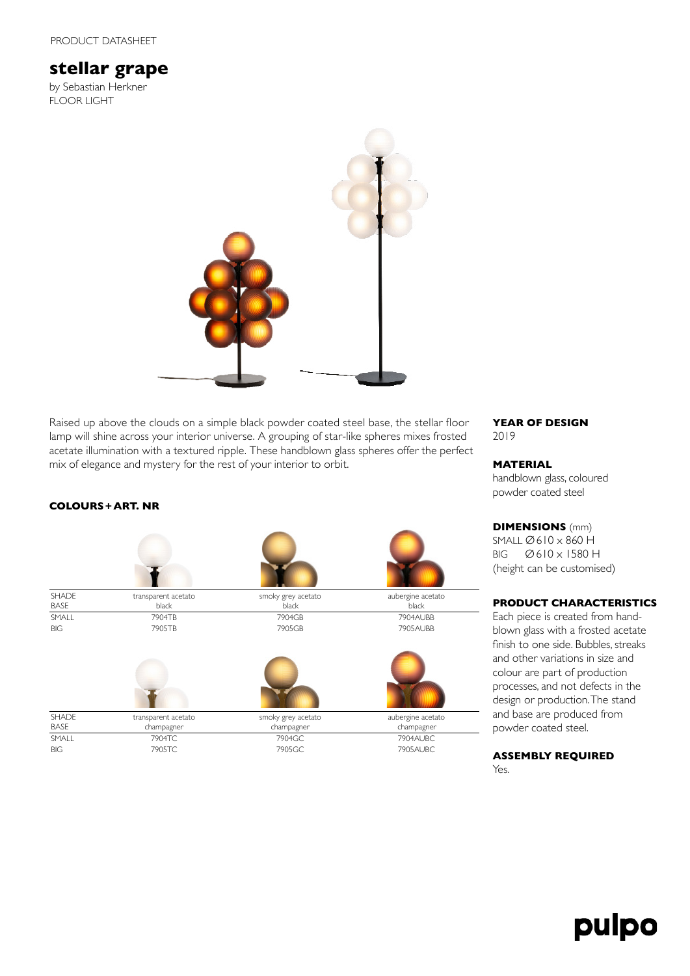# **stellar grape**

by Sebastian Herkner FLOOR LIGHT



Raised up above the clouds on a simple black powder coated steel base, the stellar floor lamp will shine across your interior universe. A grouping of star-like spheres mixes frosted acetate illumination with a textured ripple. These handblown glass spheres offer the perfect mix of elegance and mystery for the rest of your interior to orbit.

# **COLOURS+ART. NR**



**YEAR OF DESIGN** 2019

#### **MATERIAL**

handblown glass, coloured powder coated steel

**DIMENSIONS** (mm) SMALL Ø610 x 860 H BIG Ø610 x 1580 H (height can be customised)

## **PRODUCT CHARACTERISTICS**

Each piece is created from handblown glass with a frosted acetate finish to one side. Bubbles, streaks and other variations in size and colour are part of production processes, and not defects in the design or production. The stand and base are produced from powder coated steel.

### **ASSEMBLY REQUIRED** Yes.

# pulpo